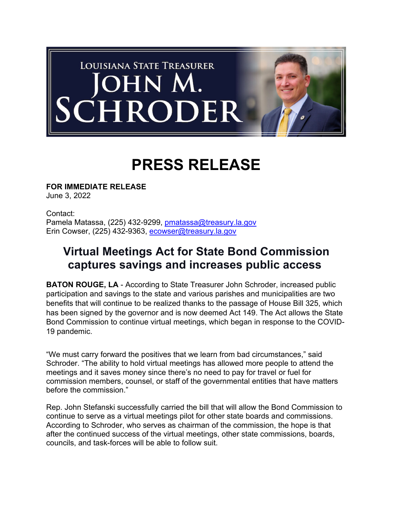

## **PRESS RELEASE**

**FOR IMMEDIATE RELEASE** June 3, 2022

Contact: Pamela Matassa, (225) 432-9299, pmatassa@treasury.la.gov Erin Cowser, (225) 432-9363, ecowser@treasury.la.gov

## **Virtual Meetings Act for State Bond Commission captures savings and increases public access**

**BATON ROUGE, LA** - According to State Treasurer John Schroder, increased public participation and savings to the state and various parishes and municipalities are two benefits that will continue to be realized thanks to the passage of House Bill 325, which has been signed by the governor and is now deemed Act 149. The Act allows the State Bond Commission to continue virtual meetings, which began in response to the COVID-19 pandemic.

"We must carry forward the positives that we learn from bad circumstances," said Schroder. "The ability to hold virtual meetings has allowed more people to attend the meetings and it saves money since there's no need to pay for travel or fuel for commission members, counsel, or staff of the governmental entities that have matters before the commission."

Rep. John Stefanski successfully carried the bill that will allow the Bond Commission to continue to serve as a virtual meetings pilot for other state boards and commissions. According to Schroder, who serves as chairman of the commission, the hope is that after the continued success of the virtual meetings, other state commissions, boards, councils, and task-forces will be able to follow suit.